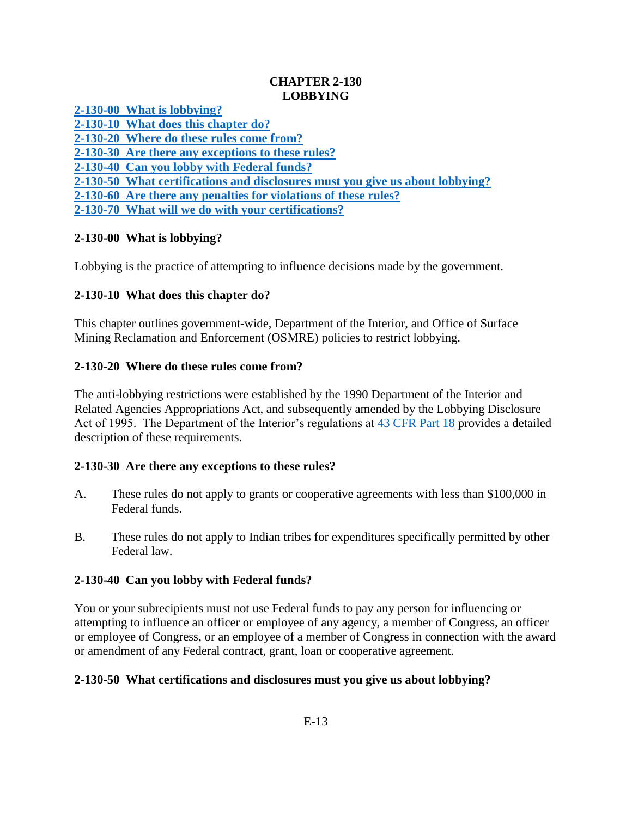## **CHAPTER 2-130 LOBBYING**

**[2-130-00 What is lobbying?](#page-0-0)**

**[2-130-10 What does this chapter do?](#page-0-1)**

**[2-130-20 Where do these rules come from?](#page-0-2)**

**[2-130-30 Are there any exceptions to these rules?](#page-0-3)**

**[2-130-40 Can you lobby with](#page-0-4) Federal funds?**

**[2-130-50 What certifications and disclosures must you give us about lobbying?](#page-0-5)**

**[2-130-60 Are there any penalties for violations of these rules?](#page-1-0)**

**[2-130-70 What will we do with your certifications?](#page-1-1)**

## <span id="page-0-0"></span>**2-130-00 What is lobbying?**

Lobbying is the practice of attempting to influence decisions made by the government.

## <span id="page-0-1"></span>**2-130-10 What does this chapter do?**

This chapter outlines government-wide, Department of the Interior, and Office of Surface Mining Reclamation and Enforcement (OSMRE) policies to restrict lobbying.

## <span id="page-0-2"></span>**2-130-20 Where do these rules come from?**

The anti-lobbying restrictions were established by the 1990 Department of the Interior and Related Agencies Appropriations Act, and subsequently amended by the Lobbying Disclosure Act of 1995. The Department of the Interior's regulations at [43 CFR Part 18](http://www.ecfr.gov/cgi-bin/text-idx?SID=30ed713edf0caf0f22fbb7e3d8121746&node=pt43.1.18&rgn=div5) provides a detailed description of these requirements.

## <span id="page-0-3"></span>**2-130-30 Are there any exceptions to these rules?**

- A. These rules do not apply to grants or cooperative agreements with less than \$100,000 in Federal funds.
- B. These rules do not apply to Indian tribes for expenditures specifically permitted by other Federal law.

## <span id="page-0-4"></span>**2-130-40 Can you lobby with Federal funds?**

You or your subrecipients must not use Federal funds to pay any person for influencing or attempting to influence an officer or employee of any agency, a member of Congress, an officer or employee of Congress, or an employee of a member of Congress in connection with the award or amendment of any Federal contract, grant, loan or cooperative agreement.

# <span id="page-0-5"></span>**2-130-50 What certifications and disclosures must you give us about lobbying?**